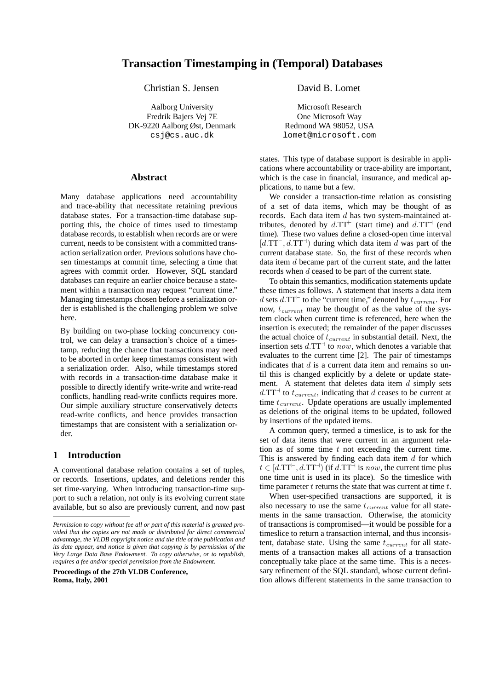Christian S. Jensen David B. Lomet

Aalborg University Fredrik Bajers Vej 7E DK-9220 Aalborg Øst, Denmark csj@cs.auc.dk

### **Abstract**

Many database applications need accountability and trace-ability that necessitate retaining previous database states. For a transaction-time database supporting this, the choice of times used to timestamp database records, to establish when records are or were current, needs to be consistent with a committed transaction serialization order. Previous solutions have chosen timestamps at commit time, selecting a time that agrees with commit order. However, SQL standard databases can require an earlier choice because a statement within a transaction may request "current time." Managing timestamps chosen before a serialization order is established is the challenging problem we solve here.

By building on two-phase locking concurrency control, we can delay a transaction's choice of a timestamp, reducing the chance that transactions may need to be aborted in order keep timestamps consistent with a serialization order. Also, while timestamps stored with records in a transaction-time database make it possible to directly identify write-write and write-read conflicts, handling read-write conflicts requires more. Our simple auxiliary structure conservatively detects read-write conflicts, and hence provides transaction timestamps that are consistent with a serialization order.

## **1 Introduction**

A conventional database relation contains a set of tuples, or records. Insertions, updates, and deletions render this set time-varying. When introducing transaction-time support to such a relation, not only is its evolving current state available, but so also are previously current, and now past

**Proceedings of the 27th VLDB Conference, Roma, Italy, 2001**

Microsoft Research One Microsoft Way Redmond WA 98052, USA lomet@microsoft.com

states. This type of database support is desirable in applications where accountability or trace-ability are important, which is the case in financial, insurance, and medical applications, to name but a few.

We consider a transaction-time relation as consisting of a set of data items, which may be thought of as records. Each data item  $d$  has two system-maintained attributes, denoted by  $d.\text{TT}^{\text{+}}$  (start time) and  $d.\text{TT}^{\text{-}}$  (end time). These two values define a closed-open time interval  $[d.\text{TT}^+, d.\text{TT}^+]$  during which data item d was part of the current database state. So, the first of these records when data item d became part of the current state, and the latter records when d ceased to be part of the current state.

To obtain this semantics, modification statements update these times as follows. A statement that inserts a data item d sets d.TT<sup> $\vdash$ </sup> to the "current time," denoted by  $t_{current}$ . For now,  $t_{current}$  may be thought of as the value of the system clock when current time is referenced, here when the insertion is executed; the remainder of the paper discusses the actual choice of  $t_{current}$  in substantial detail. Next, the insertion sets  $d.\text{T}T^{\dagger}$  to now, which denotes a variable that evaluates to the current time [2]. The pair of timestamps indicates that  $d$  is a current data item and remains so until this is changed explicitly by a delete or update statement. A statement that deletes data item  $d$  simply sets  $d.\text{TT}^{\dagger}$  to  $t_{current}$ , indicating that d ceases to be current at time  $t_{current}$ . Update operations are usually implemented as deletions of the original items to be updated, followed by insertions of the updated items.

A common query, termed a timeslice, is to ask for the set of data items that were current in an argument relation as of some time  $t$  not exceeding the current time. This is answered by finding each data item  $d$  for which  $t \in [d.\text{TT}^+, d.\text{TT}^+]$  (if  $d.\text{TT}^+$  is now, the current time plus one time unit is used in its place). So the timeslice with time parameter  $t$  returns the state that was current at time  $t$ .

When user-specified transactions are supported, it is also necessary to use the same  $t_{current}$  value for all statements in the same transaction. Otherwise, the atomicity of transactions is compromised—it would be possible for a timeslice to return a transaction internal, and thus inconsistent, database state. Using the same  $t_{current}$  for all statements of a transaction makes all actions of a transaction conceptually take place at the same time. This is a necessary refinement of the SQL standard, whose current definition allows different statements in the same transaction to

*Permission to copy without fee all or part of this material is granted provided that the copies are not made or distributed for direct commercial advantage, the VLDB copyright notice and the title of the publication and its date appear, and notice is given that copying is by permission of the Very Large Data Base Endowment. To copy otherwise, or to republish, requires a fee and/or special permission from the Endowment.*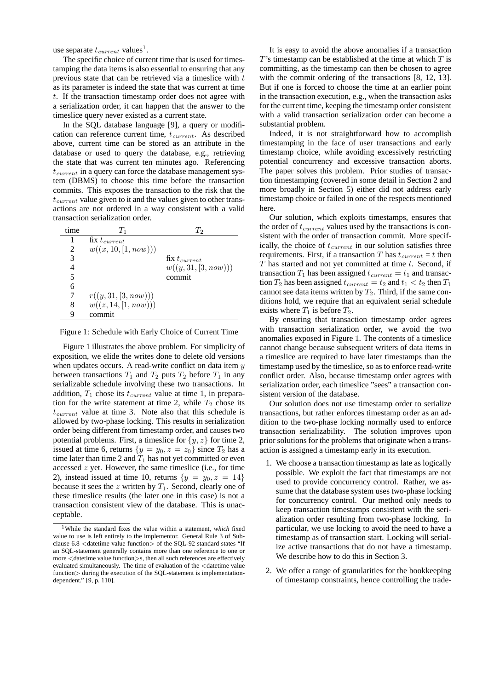use separate  $t_{current}$  values<sup>1</sup>.

The specific choice of current time that is used for timestamping the data items is also essential to ensuring that any previous state that can be retrieved via a timeslice with  $t$ as its parameter is indeed the state that was current at time t. If the transaction timestamp order does not agree with a serialization order, it can happen that the answer to the timeslice query never existed as a current state.

In the SQL database language [9], a query or modification can reference current time,  $t_{current}$ . As described above, current time can be stored as an attribute in the database or used to query the database, e.g., retrieving the state that was current ten minutes ago. Referencing  $t_{current}$  in a query can force the database management system (DBMS) to choose this time before the transaction commits. This exposes the transaction to the risk that the  $t_{current}$  value given to it and the values given to other transactions are not ordered in a way consistent with a valid transaction serialization order.

| time | $T_{1}$                                      | T,                   |
|------|----------------------------------------------|----------------------|
|      | $\overline{\text{fix}}$ t <sub>current</sub> |                      |
| 2    | w((x, 10, [1, now)))                         |                      |
| 3    |                                              | fix $t_{current}$    |
|      |                                              | w((y, 31, [3, now))) |
| 5    |                                              | commit               |
| 6    |                                              |                      |
|      | r((y, 31, [3, now)))                         |                      |
| 8    | w((z, 14, [1, now)))                         |                      |
| q    | commit                                       |                      |

Figure 1: Schedule with Early Choice of Current Time

Figure 1 illustrates the above problem. For simplicity of exposition, we elide the writes done to delete old versions when updates occurs. A read-write conflict on data item  $y$ between transactions  $T_1$  and  $T_2$  puts  $T_2$  before  $T_1$  in any serializable schedule involving these two transactions. In addition,  $T_1$  chose its  $t_{current}$  value at time 1, in preparation for the write statement at time 2, while  $T_2$  chose its  $t_{current}$  value at time 3. Note also that this schedule is allowed by two-phase locking. This results in serialization order being different from timestamp order, and causes two potential problems. First, a timeslice for  $\{y, z\}$  for time 2, issued at time 6, returns  $\{y = y_0, z = z_0\}$  since  $T_2$  has a time later than time 2 and  $T_1$  has not yet committed or even accessed  $z$  yet. However, the same timeslice (i.e., for time 2), instead issued at time 10, returns  $\{y = y_0, z = 14\}$ because it sees the  $z$  written by  $T_1$ . Second, clearly one of these timeslice results (the later one in this case) is not a transaction consistent view of the database. This is unacceptable.

It is easy to avoid the above anomalies if a transaction  $T$ 's timestamp can be established at the time at which  $T$  is committing, as the timestamp can then be chosen to agree with the commit ordering of the transactions [8, 12, 13]. But if one is forced to choose the time at an earlier point in the transaction execution, e.g., when the transaction asks for the current time, keeping the timestamp order consistent with a valid transaction serialization order can become a substantial problem.

Indeed, it is not straightforward how to accomplish timestamping in the face of user transactions and early timestamp choice, while avoiding excessively restricting potential concurrency and excessive transaction aborts. The paper solves this problem. Prior studies of transaction timestamping (covered in some detail in Section 2 and more broadly in Section 5) either did not address early timestamp choice or failed in one of the respects mentioned here.

Our solution, which exploits timestamps, ensures that the order of  $t_{current}$  values used by the transactions is consistent with the order of transaction commit. More specifically, the choice of  $t_{current}$  in our solution satisfies three requirements. First, if a transaction T has  $t_{current} = t$  then  $T$  has started and not yet committed at time  $t$ . Second, if transaction  $T_1$  has been assigned  $t_{current} = t_1$  and transaction  $T_2$  has been assigned  $t_{current} = t_2$  and  $t_1 < t_2$  then  $T_1$ cannot see data items written by  $T_2$ . Third, if the same conditions hold, we require that an equivalent serial schedule exists where  $T_1$  is before  $T_2$ .

By ensuring that transaction timestamp order agrees with transaction serialization order, we avoid the two anomalies exposed in Figure 1. The contents of a timeslice cannot change because subsequent writers of data items in a timeslice are required to have later timestamps than the timestamp used by the timeslice, so as to enforce read-write conflict order. Also, because timestamp order agrees with serialization order, each timeslice "sees" a transaction consistent version of the database.

Our solution does not use timestamp order to serialize transactions, but rather enforces timestamp order as an addition to the two-phase locking normally used to enforce transaction serializability. The solution improves upon prior solutions for the problems that originate when a transaction is assigned a timestamp early in its execution.

- 1. We choose a transaction timestamp as late as logically possible. We exploit the fact that timestamps are not used to provide concurrency control. Rather, we assume that the database system uses two-phase locking for concurrency control. Our method only needs to keep transaction timestamps consistent with the serialization order resulting from two-phase locking. In particular, we use locking to avoid the need to have a timestamp as of transaction start. Locking will serialize active transactions that do not have a timestamp. We describe how to do this in Section 3.
- 2. We offer a range of granularities for the bookkeeping of timestamp constraints, hence controlling the trade-

<sup>1</sup>While the standard fixes the value within a statement, *which* fixed value to use is left entirely to the implementor. General Rule 3 of Subclause 6.8 <datetime value function> of the SQL-92 standard states "If an SQL-statement generally contains more than one reference to one or more <datetime value function>s, then all such references are effectively evaluated simultaneously. The time of evaluation of the <datetime value function  $\ge$  during the execution of the SQL-statement is implementationdependent." [9, p. 110].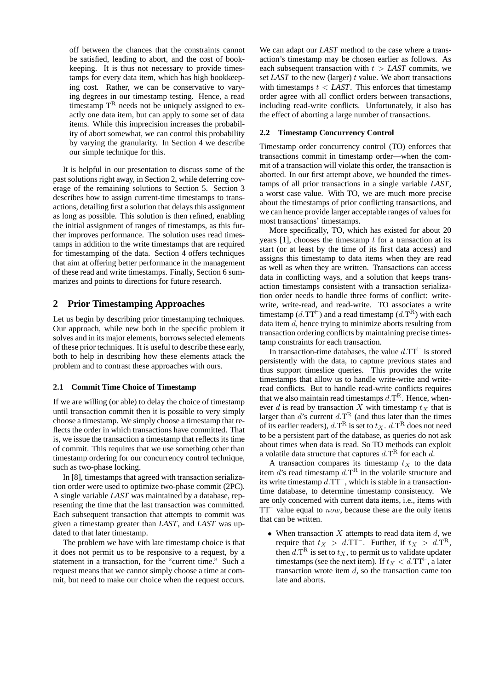off between the chances that the constraints cannot be satisfied, leading to abort, and the cost of bookkeeping. It is thus not necessary to provide timestamps for every data item, which has high bookkeeping cost. Rather, we can be conservative to varying degrees in our timestamp testing. Hence, a read timestamp  $T<sup>R</sup>$  needs not be uniquely assigned to exactly one data item, but can apply to some set of data items. While this imprecision increases the probability of abort somewhat, we can control this probability by varying the granularity. In Section 4 we describe our simple technique for this.

It is helpful in our presentation to discuss some of the past solutions right away, in Section 2, while deferring coverage of the remaining solutions to Section 5. Section 3 describes how to assign current-time timestamps to transactions, detailing first a solution that delays this assignment as long as possible. This solution is then refined, enabling the initial assignment of ranges of timestamps, as this further improves performance. The solution uses read timestamps in addition to the write timestamps that are required for timestamping of the data. Section 4 offers techniques that aim at offering better performance in the management of these read and write timestamps. Finally, Section 6 summarizes and points to directions for future research.

# **2 Prior Timestamping Approaches**

Let us begin by describing prior timestamping techniques. Our approach, while new both in the specific problem it solves and in its major elements, borrows selected elements of these prior techniques. It is useful to describe these early, both to help in describing how these elements attack the problem and to contrast these approaches with ours.

### **2.1 Commit Time Choice of Timestamp**

If we are willing (or able) to delay the choice of timestamp until transaction commit then it is possible to very simply choose a timestamp. We simply choose a timestamp that reflects the order in which transactions have committed. That is, we issue the transaction a timestamp that reflects its time of commit. This requires that we use something other than timestamp ordering for our concurrency control technique, such as two-phase locking.

In [8], timestamps that agreed with transaction serialization order were used to optimize two-phase commit (2PC). A single variable *LAST* was maintained by a database, representing the time that the last transaction was committed. Each subsequent transaction that attempts to commit was given a timestamp greater than *LAST*, and *LAST* was updated to that later timestamp.

The problem we have with late timestamp choice is that it does not permit us to be responsive to a request, by a statement in a transaction, for the "current time." Such a request means that we cannot simply choose a time at commit, but need to make our choice when the request occurs.

We can adapt our *LAST* method to the case where a transaction's timestamp may be chosen earlier as follows. As each subsequent transaction with  $t >$  *LAST* commits, we set *LAST* to the new (larger) t value. We abort transactions with timestamps  $t <$  *LAST*. This enforces that timestamp order agree with all conflict orders between transactions, including read-write conflicts. Unfortunately, it also has the effect of aborting a large number of transactions.

#### **2.2 Timestamp Concurrency Control**

Timestamp order concurrency control (TO) enforces that transactions commit in timestamp order—when the commit of a transaction will violate this order, the transaction is aborted. In our first attempt above, we bounded the timestamps of all prior transactions in a single variable *LAST*, a worst case value. With TO, we are much more precise about the timestamps of prior conflicting transactions, and we can hence provide larger acceptable ranges of values for most transactions' timestamps.

More specifically, TO, which has existed for about 20 years  $[1]$ , chooses the timestamp  $t$  for a transaction at its start (or at least by the time of its first data access) and assigns this timestamp to data items when they are read as well as when they are written. Transactions can access data in conflicting ways, and a solution that keeps transaction timestamps consistent with a transaction serialization order needs to handle three forms of conflict: writewrite, write-read, and read-write. TO associates a write timestamp (d.TT<sup> $\vdash$ </sup>) and a read timestamp (d.T<sup>R</sup>) with each data item d, hence trying to minimize aborts resulting from transaction ordering conflicts by maintaining precise timestamp constraints for each transaction.

In transaction-time databases, the value  $d.\text{T}T^+$  is stored persistently with the data, to capture previous states and thus support timeslice queries. This provides the write timestamps that allow us to handle write-write and writeread conflicts. But to handle read-write conflicts requires that we also maintain read timestamps  $d.\text{T}^{\text{R}}$ . Hence, whenever d is read by transaction X with timestamp  $t<sub>X</sub>$  that is larger than d's current  $d.\mathsf{T}^{\mathsf{R}}$  (and thus later than the times of its earlier readers),  $d.\mathbf{T}^{\text{R}}$  is set to  $t_X$ .  $d.\mathbf{T}^{\text{R}}$  does not need to be a persistent part of the database, as queries do not ask about times when data is read. So TO methods can exploit a volatile data structure that captures  $d.\mathsf{T}^{\scriptsize{\textrm{R}}}$  for each  $d$ .

A transaction compares its timestamp  $t<sub>X</sub>$  to the data item d's read timestamp  $d.\mathbf{T}^{\text{R}}$  in the volatile structure and its write timestamp  $d.\overline{TT}^+$ , which is stable in a transactiontime database, to determine timestamp consistency. We are only concerned with current data items, i.e., items with  $TT<sup>-1</sup>$  value equal to *now*, because these are the only items that can be written.

• When transaction  $X$  attempts to read data item  $d$ , we require that  $t_X > d$ .TT<sup> $\vdash$ </sup>. Further, if  $t_X > d$ .T<sup>R</sup>, then  $d.\mathsf{T}^\mathsf{R}$  is set to  $t_X$ , to permit us to validate updater timestamps (see the next item). If  $t_X < d$ .TT<sup> $\vdash$ </sup>, a later transaction wrote item  $d<sub>r</sub>$  so the transaction came too late and aborts.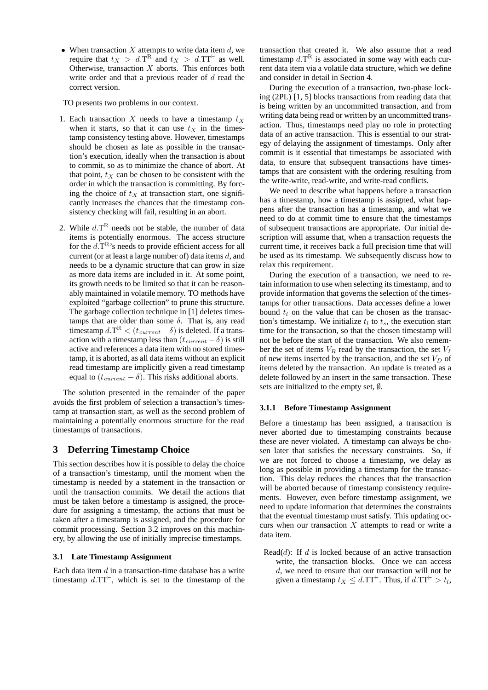• When transaction  $X$  attempts to write data item  $d$ , we require that  $t_X > d.\mathcal{T}^R$  and  $t_X > d.\mathcal{T}^T$  as well. Otherwise, transaction  $X$  aborts. This enforces both write order and that a previous reader of  $d$  read the correct version.

TO presents two problems in our context.

- 1. Each transaction X needs to have a timestamp  $t<sub>X</sub>$ when it starts, so that it can use  $t_X$  in the timestamp consistency testing above. However, timestamps should be chosen as late as possible in the transaction's execution, ideally when the transaction is about to commit, so as to minimize the chance of abort. At that point,  $t_X$  can be chosen to be consistent with the order in which the transaction is committing. By forcing the choice of  $t_X$  at transaction start, one significantly increases the chances that the timestamp consistency checking will fail, resulting in an abort.
- 2. While  $d.\mathsf{T}^R$  needs not be stable, the number of data items is potentially enormous. The access structure for the  $d.\mathsf{T}^{\rm R}$ 's needs to provide efficient access for all current (or at least a large number of) data items  $d$ , and needs to be a dynamic structure that can grow in size as more data items are included in it. At some point, its growth needs to be limited so that it can be reasonably maintained in volatile memory. TO methods have exploited "garbage collection" to prune this structure. The garbage collection technique in [1] deletes timestamps that are older than some  $\delta$ . That is, any read timestamp  $d.\text{T}^\text{R} < (t_{current} - \delta)$  is deleted. If a transaction with a timestamp less than  $(t_{current} - \delta)$  is still active and references a data item with no stored timestamp, it is aborted, as all data items without an explicit read timestamp are implicitly given a read timestamp equal to  $(t_{current} - \delta)$ . This risks additional aborts.

The solution presented in the remainder of the paper avoids the first problem of selection a transaction's timestamp at transaction start, as well as the second problem of maintaining a potentially enormous structure for the read timestamps of transactions.

## **3 Deferring Timestamp Choice**

This section describes how it is possible to delay the choice of a transaction's timestamp, until the moment when the timestamp is needed by a statement in the transaction or until the transaction commits. We detail the actions that must be taken before a timestamp is assigned, the procedure for assigning a timestamp, the actions that must be taken after a timestamp is assigned, and the procedure for commit processing. Section 3.2 improves on this machinery, by allowing the use of initially imprecise timestamps.

### **3.1 Late Timestamp Assignment**

Each data item  $d$  in a transaction-time database has a write timestamp  $d.\text{T}T^+$ , which is set to the timestamp of the

transaction that created it. We also assume that a read timestamp  $d.\mathbf{T}^{\text{R}}$  is associated in some way with each current data item via a volatile data structure, which we define and consider in detail in Section 4.

During the execution of a transaction, two-phase locking (2PL) [1, 5] blocks transactions from reading data that is being written by an uncommitted transaction, and from writing data being read or written by an uncommitted transaction. Thus, timestamps need play no role in protecting data of an active transaction. This is essential to our strategy of delaying the assignment of timestamps. Only after commit is it essential that timestamps be associated with data, to ensure that subsequent transactions have timestamps that are consistent with the ordering resulting from the write-write, read-write, and write-read conflicts.

We need to describe what happens before a transaction has a timestamp, how a timestamp is assigned, what happens after the transaction has a timestamp, and what we need to do at commit time to ensure that the timestamps of subsequent transactions are appropriate. Our initial description will assume that, when a transaction requests the current time, it receives back a full precision time that will be used as its timestamp. We subsequently discuss how to relax this requirement.

During the execution of a transaction, we need to retain information to use when selecting its timestamp, and to provide information that governs the selection of the timestamps for other transactions. Data accesses define a lower bound  $t_l$  on the value that can be chosen as the transaction's timestamp. We initialize  $t_l$  to  $t_s$ , the execution start time for the transaction, so that the chosen timestamp will not be before the start of the transaction. We also remember the set of items  $V_R$  read by the transaction, the set  $V_I$ of new items inserted by the transaction, and the set  $V_D$  of items deleted by the transaction. An update is treated as a delete followed by an insert in the same transaction. These sets are initialized to the empty set, ∅.

### **3.1.1 Before Timestamp Assignment**

Before a timestamp has been assigned, a transaction is never aborted due to timestamping constraints because these are never violated. A timestamp can always be chosen later that satisfies the necessary constraints. So, if we are not forced to choose a timestamp, we delay as long as possible in providing a timestamp for the transaction. This delay reduces the chances that the transaction will be aborted because of timestamp consistency requirements. However, even before timestamp assignment, we need to update information that determines the constraints that the eventual timestamp must satisfy. This updating occurs when our transaction  $X$  attempts to read or write a data item.

Read $(d)$ : If d is locked because of an active transaction write, the transaction blocks. Once we can access d, we need to ensure that our transaction will not be given a timestamp  $t_X \le d$ .TT<sup> $\vdash$ </sup>. Thus, if  $d$ .TT $\vdash > t_l$ ,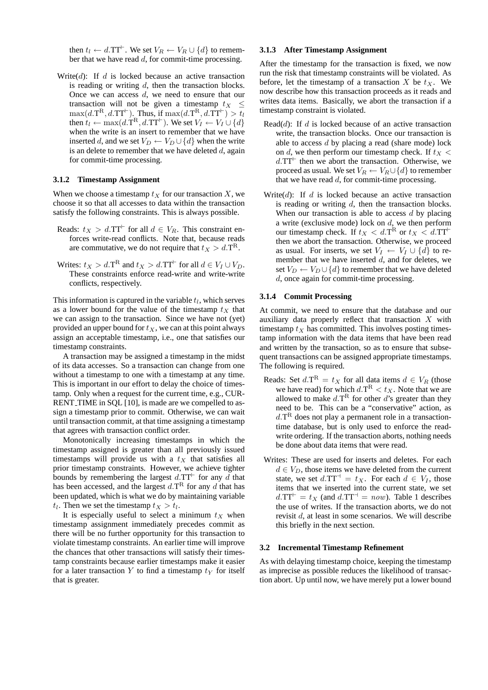then  $t_l \leftarrow d$ .TT<sup> $\vdash$ </sup>. We set  $V_R \leftarrow V_R \cup \{d\}$  to remember that we have read  $d$ , for commit-time processing.

Write $(d)$ : If d is locked because an active transaction is reading or writing  $d$ , then the transaction blocks. Once we can access  $d$ , we need to ensure that our transaction will not be given a timestamp  $t_X \leq$  $\max(d.\mathrm{T}^{\mathrm{R}}, d.\mathrm{T} \mathrm{T}^{\vdash})$ . Thus, if  $\max(d.\mathrm{T}^{\mathrm{R}}, d.\mathrm{T} \mathrm{T}^{\vdash}) > \overline{t}_l$ then  $t_l \leftarrow \max(d.\hat{T}^R, d.\hat{T}^{\dagger})$ . We set  $V_I \leftarrow V_I \cup \{d\}$ when the write is an insert to remember that we have inserted d, and we set  $V_D \leftarrow V_D \cup \{d\}$  when the write is an delete to remember that we have deleted  $d$ , again for commit-time processing.

#### **3.1.2 Timestamp Assignment**

When we choose a timestamp  $t_X$  for our transaction X, we choose it so that all accesses to data within the transaction satisfy the following constraints. This is always possible.

- Reads:  $t_X > d$ .TT<sup> $\vdash$ </sup> for all  $d \in V_R$ . This constraint enforces write-read conflicts. Note that, because reads are commutative, we do not require that  $t_X > d.\mathcal{T}^{\mathcal{R}}$ .
- Writes:  $t_X > d.\mathbf{T}^{\mathbf{R}}$  and  $t_X > d.\mathbf{T}^{\mathbf{T}^{\mathbf{L}}}$  for all  $d \in V_I \cup V_D$ . These constraints enforce read-write and write-write conflicts, respectively.

This information is captured in the variable  $t_l$ , which serves as a lower bound for the value of the timestamp  $t<sub>X</sub>$  that we can assign to the transaction. Since we have not (yet) provided an upper bound for  $t_X$ , we can at this point always assign an acceptable timestamp, i.e., one that satisfies our timestamp constraints.

A transaction may be assigned a timestamp in the midst of its data accesses. So a transaction can change from one without a timestamp to one with a timestamp at any time. This is important in our effort to delay the choice of timestamp. Only when a request for the current time, e.g., CUR-RENT TIME in SQL [10], is made are we compelled to assign a timestamp prior to commit. Otherwise, we can wait until transaction commit, at that time assigning a timestamp that agrees with transaction conflict order.

Monotonically increasing timestamps in which the timestamp assigned is greater than all previously issued timestamps will provide us with a  $t_X$  that satisfies all prior timestamp constraints. However, we achieve tighter bounds by remembering the largest  $d.\text{TT}^+$  for any  $\check{d}$  that has been accessed, and the largest  $d.\mathsf{T}^{\scriptstyle{\mathrm{R}}}$  for any  $d$  that has been updated, which is what we do by maintaining variable  $t_l$ . Then we set the timestamp  $t_X > t_l$ .

It is especially useful to select a minimum  $t<sub>X</sub>$  when timestamp assignment immediately precedes commit as there will be no further opportunity for this transaction to violate timestamp constraints. An earlier time will improve the chances that other transactions will satisfy their timestamp constraints because earlier timestamps make it easier for a later transaction Y to find a timestamp  $t_Y$  for itself that is greater.

#### **3.1.3 After Timestamp Assignment**

After the timestamp for the transaction is fixed, we now run the risk that timestamp constraints will be violated. As before, let the timestamp of a transaction X be  $t<sub>X</sub>$ . We now describe how this transaction proceeds as it reads and writes data items. Basically, we abort the transaction if a timestamp constraint is violated.

- Read $(d)$ : If d is locked because of an active transaction write, the transaction blocks. Once our transaction is able to access d by placing a read (share mode) lock on d, we then perform our timestamp check. If  $t_X$  <  $d.\text{T}$ <sup> $\vdash$ </sup> then we abort the transaction. Otherwise, we proceed as usual. We set  $V_R \leftarrow V_R \cup \{d\}$  to remember that we have read  $d$ , for commit-time processing.
- Write(d): If d is locked because an active transaction is reading or writing  $d$ , then the transaction blocks. When our transaction is able to access  $d$  by placing a write (exclusive mode) lock on  $d$ , we then perform our timestamp check. If  $t_X < d.\text{T}^{\text{R}}$  or  $t_X < d.\text{T}^{\text{L}}$ then we abort the transaction. Otherwise, we proceed as usual. For inserts, we set  $V_I \leftarrow V_I \cup \{d\}$  to remember that we have inserted  $d$ , and for deletes, we set  $V_D \leftarrow V_D \cup \{d\}$  to remember that we have deleted d, once again for commit-time processing.

### **3.1.4 Commit Processing**

At commit, we need to ensure that the database and our auxiliary data properly reflect that transaction  $X$  with timestamp  $t_X$  has committed. This involves posting timestamp information with the data items that have been read and written by the transaction, so as to ensure that subsequent transactions can be assigned appropriate timestamps. The following is required.

- Reads: Set  $d.\mathbf{T}^{\mathbf{R}} = t_X$  for all data items  $d \in V_R$  (those we have read) for which  $d.\mathbf{T}^{\mathbf{R}} < t_X$ . Note that we are allowed to make  $d.\mathsf{T}^{\mathsf{R}}$  for other d's greater than they need to be. This can be a "conservative" action, as  $d.\mathsf{T}^{\mathsf{R}}$  does not play a permanent role in a transactiontime database, but is only used to enforce the readwrite ordering. If the transaction aborts, nothing needs be done about data items that were read.
- Writes: These are used for inserts and deletes. For each  $d \in V_D$ , those items we have deleted from the current state, we set  $d.\text{TT}^{\perp} = t_X$ . For each  $d \in V_I$ , those items that we inserted into the current state, we set  $d.\text{TT}^+ = t_X$  (and  $d.\text{TT}^+ = now$ ). Table 1 describes the use of writes. If the transaction aborts, we do not revisit d, at least in some scenarios. We will describe this briefly in the next section.

#### **3.2 Incremental Timestamp Refinement**

As with delaying timestamp choice, keeping the timestamp as imprecise as possible reduces the likelihood of transaction abort. Up until now, we have merely put a lower bound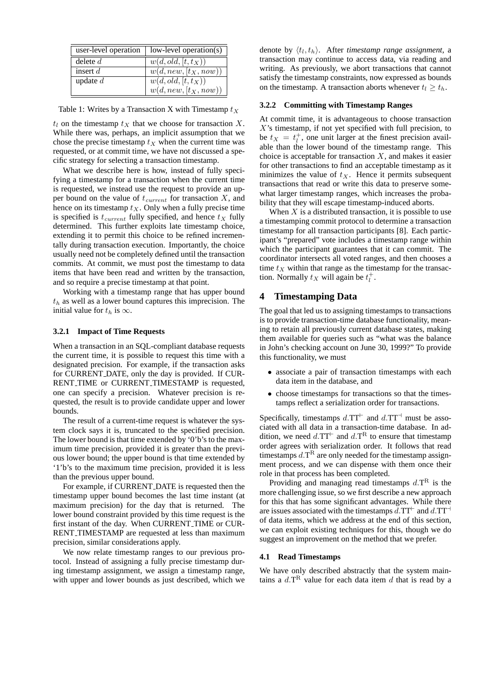| user-level operation | $low-level operation(s)$           |
|----------------------|------------------------------------|
| delete $d$           | $w(d, old, [t, t_X))$              |
| insert $d$           | $\overline{w(d, new, [t_X, now))}$ |
| update $d$           | $w(d, old, [t, t_X))$              |
|                      | $w(d, new, [t_X, now))$            |

Table 1: Writes by a Transaction X with Timestamp  $t_X$ 

 $t_l$  on the timestamp  $t_x$  that we choose for transaction X. While there was, perhaps, an implicit assumption that we chose the precise timestamp  $t<sub>X</sub>$  when the current time was requested, or at commit time, we have not discussed a specific strategy for selecting a transaction timestamp.

What we describe here is how, instead of fully specifying a timestamp for a transaction when the current time is requested, we instead use the request to provide an upper bound on the value of  $t_{current}$  for transaction  $X$ , and hence on its timestamp  $t_X$ . Only when a fully precise time is specified is  $t_{current}$  fully specified, and hence  $t_X$  fully determined. This further exploits late timestamp choice, extending it to permit this choice to be refined incrementally during transaction execution. Importantly, the choice usually need not be completely defined until the transaction commits. At commit, we must post the timestamp to data items that have been read and written by the transaction, and so require a precise timestamp at that point.

Working with a timestamp range that has upper bound  $t<sub>h</sub>$  as well as a lower bound captures this imprecision. The initial value for  $t_h$  is  $\infty$ .

### **3.2.1 Impact of Time Requests**

When a transaction in an SQL-compliant database requests the current time, it is possible to request this time with a designated precision. For example, if the transaction asks for CURRENT DATE, only the day is provided. If CUR-RENT TIME or CURRENT TIMESTAMP is requested, one can specify a precision. Whatever precision is requested, the result is to provide candidate upper and lower bounds.

The result of a current-time request is whatever the system clock says it is, truncated to the specified precision. The lower bound is that time extended by '0'b's to the maximum time precision, provided it is greater than the previous lower bound; the upper bound is that time extended by '1'b's to the maximum time precision, provided it is less than the previous upper bound.

For example, if CURRENT DATE is requested then the timestamp upper bound becomes the last time instant (at maximum precision) for the day that is returned. The lower bound constraint provided by this time request is the first instant of the day. When CURRENT TIME or CUR-RENT TIMESTAMP are requested at less than maximum precision, similar considerations apply.

We now relate timestamp ranges to our previous protocol. Instead of assigning a fully precise timestamp during timestamp assignment, we assign a timestamp range, with upper and lower bounds as just described, which we

denote by  $\langle t_l, t_h \rangle$ . After *timestamp range assignment*, a transaction may continue to access data, via reading and writing. As previously, we abort transactions that cannot satisfy the timestamp constraints, now expressed as bounds on the timestamp. A transaction aborts whenever  $t_l \geq t_h$ .

### **3.2.2 Committing with Timestamp Ranges**

At commit time, it is advantageous to choose transaction  $X$ 's timestamp, if not yet specified with full precision, to be  $t_X = t_i^+$ , one unit larger at the finest precision available than the lower bound of the timestamp range. This choice is acceptable for transaction  $X$ , and makes it easier for other transactions to find an acceptable timestamp as it minimizes the value of  $t_X$ . Hence it permits subsequent transactions that read or write this data to preserve somewhat larger timestamp ranges, which increases the probability that they will escape timestamp-induced aborts.

When  $X$  is a distributed transaction, it is possible to use a timestamping commit protocol to determine a transaction timestamp for all transaction participants [8]. Each participant's "prepared" vote includes a timestamp range within which the participant guarantees that it can commit. The coordinator intersects all voted ranges, and then chooses a time  $t<sub>X</sub>$  within that range as the timestamp for the transaction. Normally  $t_X$  will again be  $t_l^+$ .

### **4 Timestamping Data**

The goal that led us to assigning timestamps to transactions is to provide transaction-time database functionality, meaning to retain all previously current database states, making them available for queries such as "what was the balance in John's checking account on June 30, 1999?" To provide this functionality, we must

- associate a pair of transaction timestamps with each data item in the database, and
- choose timestamps for transactions so that the timestamps reflect a serialization order for transactions.

Specifically, timestamps  $d.\text{TT}^+$  and  $d.\text{TT}^-$  must be associated with all data in a transaction-time database. In addition, we need  $d.\text{TT}^{\vdash}$  and  $d.\text{T}^{\text{R}}$  to ensure that timestamp order agrees with serialization order. It follows that read timestamps  $d.\mathsf{T}^\mathsf{R}$  are only needed for the timestamp assignment process, and we can dispense with them once their role in that process has been completed.

Providing and managing read timestamps  $d.\text{T}^R$  is the more challenging issue, so we first describe a new approach for this that has some significant advantages. While there are issues associated with the timestamps  $d$ .TT<sup> $\vdash$ </sup> and  $d$ .TT<sup> $\vdash$ </sup> of data items, which we address at the end of this section, we can exploit existing techniques for this, though we do suggest an improvement on the method that we prefer.

### **4.1 Read Timestamps**

We have only described abstractly that the system maintains a  $d.\mathsf{T}^R$  value for each data item d that is read by a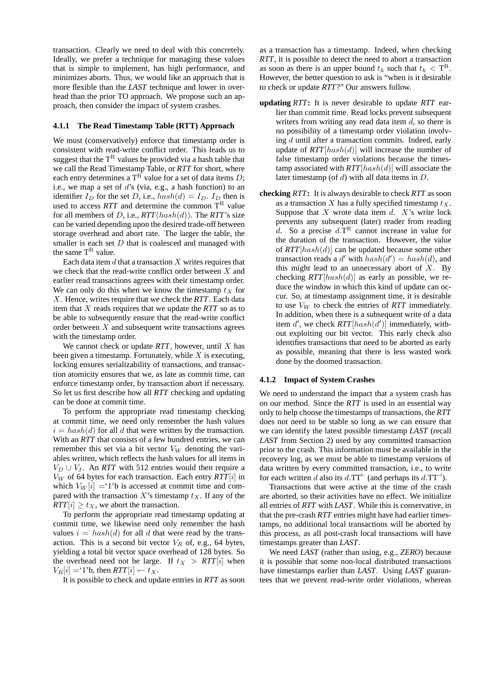transaction. Clearly we need to deal with this concretely. Ideally, we prefer a technique for managing these values that is simple to implement, has high performance, and minimizes aborts. Thus, we would like an approach that is more flexible than the *LAST* technique and lower in overhead than the prior TO approach. We propose such an approach, then consider the impact of system crashes.

#### **4.1.1 The Read Timestamp Table (RTT) Approach**

We must (conservatively) enforce that timestamp order is consistent with read-write conflict order. This leads us to suggest that the  $T^R$  values be provided via a hash table that we call the Read Timestamp Table, or *RTT* for short, where each entry determines a  $T<sup>R</sup>$  value for a set of data items D; i.e., we map a set of d's (via, e.g., a hash function) to an identifier  $I_D$  for the set D, i.e.,  $hash(d) = I_D$ .  $I_D$  then is used to access  $RTT$  and determine the common  $T<sup>R</sup>$  value for all members of D, i.e., *RTT*(hash(d)). The *RTT*'s size can be varied depending upon the desired trade-off between storage overhead and abort rate. The larger the table, the smaller is each set  $D$  that is coalesced and managed with the same  $T^R$  value.

Each data item  $d$  that a transaction  $X$  writes requires that we check that the read-write conflict order between X and earlier read transactions agrees with their timestamp order. We can only do this when we know the timestamp  $t<sub>X</sub>$  for X. Hence, writes require that we check the *RTT*. Each data item that X reads requires that we update the *RTT* so as to be able to subsequently ensure that the read-write conflict order between  $X$  and subsequent write transactions agrees with the timestamp order.

We cannot check or update *RTT*, however, until X has been given a timestamp. Fortunately, while  $X$  is executing, locking ensures serializability of transactions, and transaction atomicity ensures that we, as late as commit time, can enforce timestamp order, by transaction abort if necessary. So let us first describe how all *RTT* checking and updating can be done at commit time.

To perform the appropriate read timestamp checking at commit time, we need only remember the hash values  $i = hash(d)$  for all d that were written by the transaction. With an *RTT* that consists of a few hundred entries, we can remember this set via a bit vector  $V_W$  denoting the variables written, which reflects the hash values for all items in  $V_D \cup V_I$ . An *RTT* with 512 entries would then require a  $V_W$  of 64 bytes for each transaction. Each entry  $RTT[i]$  in which  $V_W[i] = 1$ 'b is accessed at commit time and compared with the transaction X's timestamp  $t_X$ . If any of the  $RTT[i] \ge t_X$ , we abort the transaction.

To perform the appropriate read timestamp updating at commit time, we likewise need only remember the hash values  $i = hash(d)$  for all d that were read by the transaction. This is a second bit vector  $V_R$  of, e.g., 64 bytes, yielding a total bit vector space overhead of 128 bytes. So the overhead need not be large. If  $t_X > RTT[i]$  when  $V_R[i] = 1$ 'b, then  $RTT[i] \leftarrow t_X$ .

It is possible to check and update entries in *RTT* as soon

as a transaction has a timestamp. Indeed, when checking *RTT*, it is possible to detect the need to abort a transaction as soon as there is an upper bound  $t_h$  such that  $t_h <$  T<sup>R</sup>. However, the better question to ask is "when is it desirable to check or update *RTT*?" Our answers follow.

- **updating** *RTT***:** It is never desirable to update *RTT* earlier than commit time. Read locks prevent subsequent writers from writing any read data item  $d$ , so there is no possibility of a timestamp order violation involving d until after a transaction commits. Indeed, early update of  $RTT[hash(d)]$  will increase the number of false timestamp order violations because the timestamp associated with *RTT*[hash(d)] will associate the later timestamp (of  $d$ ) with all data items in  $D$ .
- **checking** *RTT***:** It is always desirable to check *RTT* as soon as a transaction X has a fully specified timestamp  $t_X$ . Suppose that  $X$  wrote data item  $d$ .  $X$ 's write lock prevents any subsequent (later) reader from reading d. So a precise  $d.\mathsf{T}^R$  cannot increase in value for the duration of the transaction. However, the value of *RTT*[hash(d)] can be updated because some other transaction reads a d' with  $hash(d') = hash(d)$ , and this might lead to an unnecessary abort of  $X$ . By checking  $RTT[hash(d)]$  as early as possible, we reduce the window in which this kind of update can occur. So, at timestamp assignment time, it is desirable to use  $V_W$  to check the entries of *RTT* immediately. In addition, when there is a subsequent write of a data item  $d'$ , we check  $RTT[hash(d')]$  immediately, without exploiting our bit vector. This early check also identifies transactions that need to be aborted as early as possible, meaning that there is less wasted work done by the doomed transaction.

### **4.1.2 Impact of System Crashes**

We need to understand the impact that a system crash has on our method. Since the *RTT* is used in an essential way only to help choose the timestamps of transactions, the *RTT* does not need to be stable so long as we can ensure that we can identify the latest possible timestamp *LAST* (recall *LAST* from Section 2) used by any committed transaction prior to the crash. This information must be available in the recovery log, as we must be able to timestamp versions of data written by every committed transaction, i.e., to write for each written d also its  $d.\text{TT}^{\text{+}}$  (and perhaps its  $d.\text{TT}^{\text{-}}$ ).

Transactions that were active at the time of the crash are aborted, so their activities have no effect. We initialize all entries of *RTT* with *LAST*. While this is conservative, in that the pre-crash *RTT* entries might have had earlier timestamps, no additional local transactions will be aborted by this process, as all post-crash local transactions will have timestamps greater than *LAST*.

We need *LAST* (rather than using, e.g., *ZERO*) because it is possible that some non-local distributed transactions have timestamps earlier than *LAST*. Using *LAST* guarantees that we prevent read-write order violations, whereas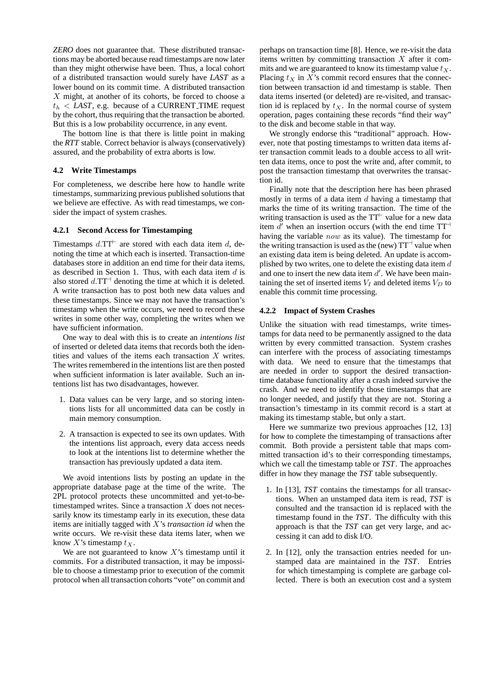*ZERO* does not guarantee that. These distributed transactions may be aborted because read timestamps are now later than they might otherwise have been. Thus, a local cohort of a distributed transaction would surely have *LAST* as a lower bound on its commit time. A distributed transaction  $X$  might, at another of its cohorts, be forced to choose a  $t<sub>b</sub> < LAST$ , e.g. because of a CURRENT TIME request by the cohort, thus requiring that the transaction be aborted. But this is a low probability occurrence, in any event.

The bottom line is that there is little point in making the *RTT* stable. Correct behavior is always (conservatively) assured, and the probability of extra aborts is low.

### **4.2 Write Timestamps**

For completeness, we describe here how to handle write timestamps, summarizing previous published solutions that we believe are effective. As with read timestamps, we consider the impact of system crashes.

#### **4.2.1 Second Access for Timestamping**

Timestamps  $d.\text{TT}^+$  are stored with each data item d, denoting the time at which each is inserted. Transaction-time databases store in addition an end time for their data items, as described in Section 1. Thus, with each data item  $d$  is also stored  $d.\text{T} \text{T}^{-1}$  denoting the time at which it is deleted. A write transaction has to post both new data values and these timestamps. Since we may not have the transaction's timestamp when the write occurs, we need to record these writes in some other way, completing the writes when we have sufficient information.

One way to deal with this is to create an *intentions list* of inserted or deleted data items that records both the identities and values of the items each transaction X writes. The writes remembered in the intentions list are then posted when sufficient information is later available. Such an intentions list has two disadvantages, however.

- 1. Data values can be very large, and so storing intentions lists for all uncommitted data can be costly in main memory consumption.
- 2. A transaction is expected to see its own updates. With the intentions list approach, every data access needs to look at the intentions list to determine whether the transaction has previously updated a data item.

We avoid intentions lists by posting an update in the appropriate database page at the time of the write. The 2PL protocol protects these uncommitted and yet-to-betimestamped writes. Since a transaction  $X$  does not necessarily know its timestamp early in its execution, these data items are initially tagged with X's *transaction id* when the write occurs. We re-visit these data items later, when we know X's timestamp  $t<sub>x</sub>$ .

We are not guaranteed to know  $X$ 's timestamp until it commits. For a distributed transaction, it may be impossible to choose a timestamp prior to execution of the commit protocol when all transaction cohorts "vote" on commit and

perhaps on transaction time [8]. Hence, we re-visit the data items written by committing transaction  $X$  after it commits and we are guaranteed to know its timestamp value  $t_X$ . Placing  $t_X$  in X's commit record ensures that the connection between transaction id and timestamp is stable. Then data items inserted (or deleted) are re-visited, and transaction id is replaced by  $t_{x}$ . In the normal course of system operation, pages containing these records "find their way" to the disk and become stable in that way.

We strongly endorse this "traditional" approach. However, note that posting timestamps to written data items after transaction commit leads to a double access to all written data items, once to post the write and, after commit, to post the transaction timestamp that overwrites the transaction id.

Finally note that the description here has been phrased mostly in terms of a data item  $d$  having a timestamp that marks the time of its writing transaction. The time of the writing transaction is used as the  $TT<sup>+</sup>$  value for a new data item  $\overline{d}$  when an insertion occurs (with the end time TT<sup>-1</sup> having the variable now as its value). The timestamp for the writing transaction is used as the (new)  $TT^{-1}$  value when an existing data item is being deleted. An update is accomplished by two writes, one to delete the existing data item  $d$ and one to insert the new data item  $d'$ . We have been maintaining the set of inserted items  $V_I$  and deleted items  $V_D$  to enable this commit time processing.

## **4.2.2 Impact of System Crashes**

Unlike the situation with read timestamps, write timestamps for data need to be permanently assigned to the data written by every committed transaction. System crashes can interfere with the process of associating timestamps with data. We need to ensure that the timestamps that are needed in order to support the desired transactiontime database functionality after a crash indeed survive the crash. And we need to identify those timestamps that are no longer needed, and justify that they are not. Storing a transaction's timestamp in its commit record is a start at making its timestamp stable, but only a start.

Here we summarize two previous approaches [12, 13] for how to complete the timestamping of transactions after commit. Both provide a persistent table that maps committed transaction id's to their corresponding timestamps, which we call the timestamp table or *TST*. The approaches differ in how they manage the *TST* table subsequently.

- 1. In [13], *TST* contains the timestamps for all transactions. When an unstamped data item is read, *TST* is consulted and the transaction id is replaced with the timestamp found in the *TST*. The difficulty with this approach is that the *TST* can get very large, and accessing it can add to disk I/O.
- 2. In [12], only the transaction entries needed for unstamped data are maintained in the *TST*. Entries for which timestamping is complete are garbage collected. There is both an execution cost and a system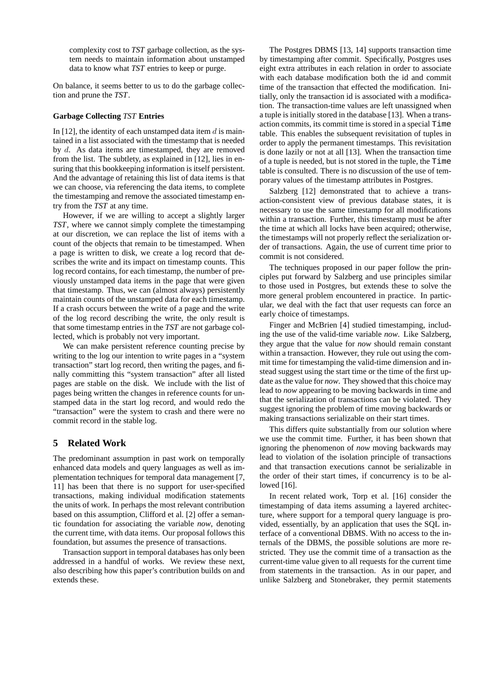complexity cost to *TST* garbage collection, as the system needs to maintain information about unstamped data to know what *TST* entries to keep or purge.

On balance, it seems better to us to do the garbage collection and prune the *TST*.

### **Garbage Collecting** *TST* **Entries**

In [12], the identity of each unstamped data item  $d$  is maintained in a list associated with the timestamp that is needed by d. As data items are timestamped, they are removed from the list. The subtlety, as explained in [12], lies in ensuring that this bookkeeping information is itself persistent. And the advantage of retaining this list of data items is that we can choose, via referencing the data items, to complete the timestamping and remove the associated timestamp entry from the *TST* at any time.

However, if we are willing to accept a slightly larger *TST*, where we cannot simply complete the timestamping at our discretion, we can replace the list of items with a count of the objects that remain to be timestamped. When a page is written to disk, we create a log record that describes the write and its impact on timestamp counts. This log record contains, for each timestamp, the number of previously unstamped data items in the page that were given that timestamp. Thus, we can (almost always) persistently maintain counts of the unstamped data for each timestamp. If a crash occurs between the write of a page and the write of the log record describing the write, the only result is that some timestamp entries in the *TST* are not garbage collected, which is probably not very important.

We can make persistent reference counting precise by writing to the log our intention to write pages in a "system transaction" start log record, then writing the pages, and finally committing this "system transaction" after all listed pages are stable on the disk. We include with the list of pages being written the changes in reference counts for unstamped data in the start log record, and would redo the "transaction" were the system to crash and there were no commit record in the stable log.

### **5 Related Work**

The predominant assumption in past work on temporally enhanced data models and query languages as well as implementation techniques for temporal data management [7, 11] has been that there is no support for user-specified transactions, making individual modification statements the units of work. In perhaps the most relevant contribution based on this assumption, Clifford et al. [2] offer a semantic foundation for associating the variable *now*, denoting the current time, with data items. Our proposal follows this foundation, but assumes the presence of transactions.

Transaction support in temporal databases has only been addressed in a handful of works. We review these next, also describing how this paper's contribution builds on and extends these.

The Postgres DBMS [13, 14] supports transaction time by timestamping after commit. Specifically, Postgres uses eight extra attributes in each relation in order to associate with each database modification both the id and commit time of the transaction that effected the modification. Initially, only the transaction id is associated with a modification. The transaction-time values are left unassigned when a tuple is initially stored in the database [13]. When a transaction commits, its commit time is stored in a special Time table. This enables the subsequent revisitation of tuples in order to apply the permanent timestamps. This revisitation is done lazily or not at all [13]. When the transaction time of a tuple is needed, but is not stored in the tuple, the Time table is consulted. There is no discussion of the use of temporary values of the timestamp attributes in Postgres.

Salzberg [12] demonstrated that to achieve a transaction-consistent view of previous database states, it is necessary to use the same timestamp for all modifications within a transaction. Further, this timestamp must be after the time at which all locks have been acquired; otherwise, the timestamps will not properly reflect the serialization order of transactions. Again, the use of current time prior to commit is not considered.

The techniques proposed in our paper follow the principles put forward by Salzberg and use principles similar to those used in Postgres, but extends these to solve the more general problem encountered in practice. In particular, we deal with the fact that user requests can force an early choice of timestamps.

Finger and McBrien [4] studied timestamping, including the use of the valid-time variable *now*. Like Salzberg, they argue that the value for *now* should remain constant within a transaction. However, they rule out using the commit time for timestamping the valid-time dimension and instead suggest using the start time or the time of the first update as the value for *now*. They showed that this choice may lead to *now* appearing to be moving backwards in time and that the serialization of transactions can be violated. They suggest ignoring the problem of time moving backwards or making transactions serializable on their start times.

This differs quite substantially from our solution where we use the commit time. Further, it has been shown that ignoring the phenomenon of *now* moving backwards may lead to violation of the isolation principle of transactions and that transaction executions cannot be serializable in the order of their start times, if concurrency is to be allowed [16].

In recent related work, Torp et al. [16] consider the timestamping of data items assuming a layered architecture, where support for a temporal query language is provided, essentially, by an application that uses the SQL interface of a conventional DBMS. With no access to the internals of the DBMS, the possible solutions are more restricted. They use the commit time of a transaction as the current-time value given to all requests for the current time from statements in the transaction. As in our paper, and unlike Salzberg and Stonebraker, they permit statements